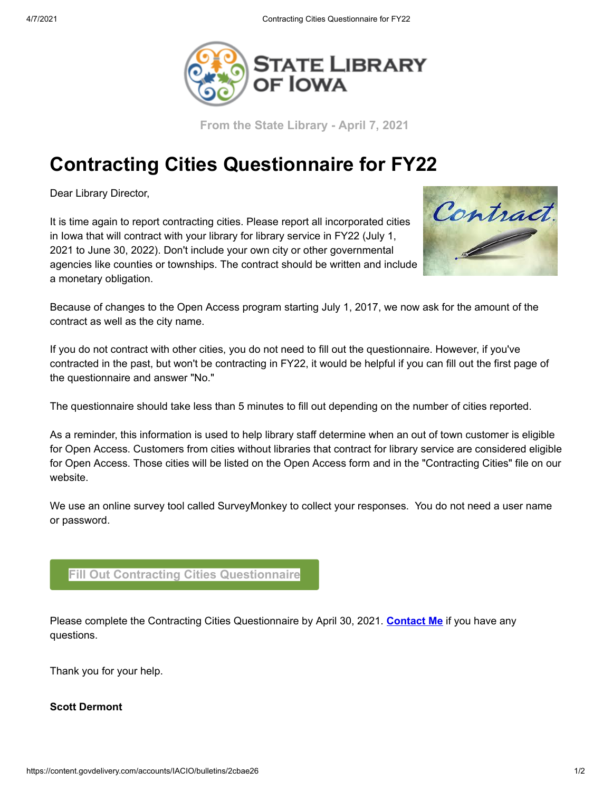

**From the State Library - April 7, 2021** 

## **Contracting Cities Questionnaire for FY22**

Dear Library Director,

It is time again to report contracting cities. Please report all incorporated cities in Iowa that will contract with your library for library service in FY22 (July 1, 2021 to June 30, 2022). Don't include your own city or other governmental agencies like counties or townships. The contract should be written and include a monetary obligation.



Because of changes to the Open Access program starting July 1, 2017, we now ask for the amount of the contract as well as the city name.

If you do not contract with other cities, you do not need to fill out the questionnaire. However, if you've contracted in the past, but won't be contracting in FY22, it would be helpful if you can fill out the first page of the questionnaire and answer "No."

The questionnaire should take less than 5 minutes to fill out depending on the number of cities reported.

As a reminder, this information is used to help library staff determine when an out of town customer is eligible for Open Access. Customers from cities without libraries that contract for library service are considered eligible for Open Access. Those cities will be listed on the Open Access form and in the "Contracting Cities" file on our website.

We use an online survey tool called SurveyMonkey to collect your responses. You do not need a user name or password.

## **[Fill Out Contracting Cities Questionnaire](https://www.surveymonkey.com/r/contracting22?utm_medium=email&utm_source=govdelivery)**

Please complete the Contracting Cities Questionnaire by April 30, 2021. **[Contact](https://lnks.gd/l/eyJhbGciOiJIUzI1NiJ9.eyJidWxsZXRpbl9saW5rX2lkIjoxMDIsInVyaSI6ImJwMjpjbGljayIsImJ1bGxldGluX2lkIjoiMjAyMDA1MTIuMjE0MDkxNDEiLCJ1cmwiOiJodHRwczovL3d3dy5zdGF0ZWxpYnJhcnlvZmlvd2Eub3JnL2NvbnRhY3QtdXMvcGVvcGxlL3NkZXJtb250P3V0bV9tZWRpdW09ZW1haWwmdXRtX3NvdXJjZT1nb3ZkZWxpdmVyeSJ9.J_Zuewj2DiTLtzkqTYHajVOYYmrf9CctLCFwi9MF1iM/br/78536465409-l?utm_medium=email&utm_source=govdelivery) Me** if you have any questions.

Thank you for your help.

## **Scott Dermont**